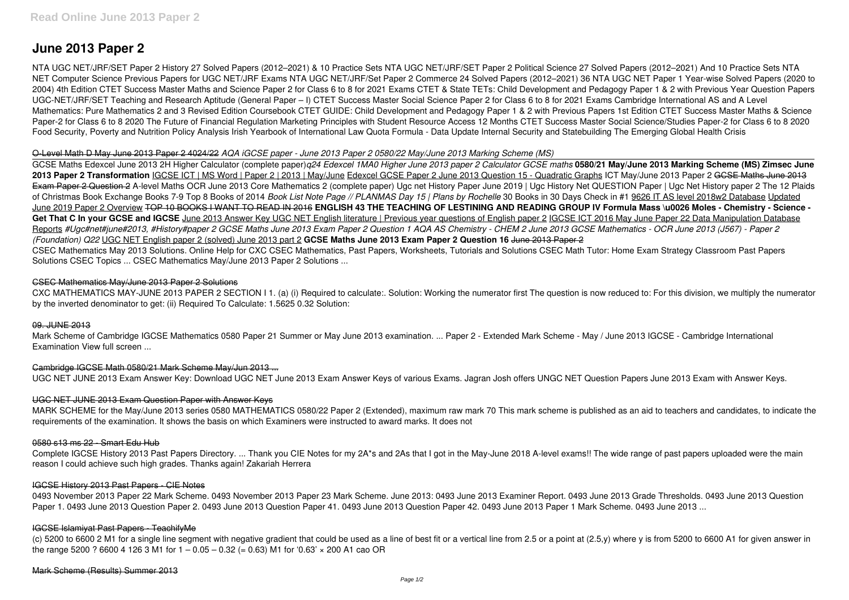# **June 2013 Paper 2**

NTA UGC NET/JRF/SET Paper 2 History 27 Solved Papers (2012–2021) & 10 Practice Sets NTA UGC NET/JRF/SET Paper 2 Political Science 27 Solved Papers (2012–2021) And 10 Practice Sets NTA NET Computer Science Previous Papers for UGC NET/JRF Exams NTA UGC NET/JRF/Set Paper 2 Commerce 24 Solved Papers (2012–2021) 36 NTA UGC NET Paper 1 Year-wise Solved Papers (2020 to 2004) 4th Edition CTET Success Master Maths and Science Paper 2 for Class 6 to 8 for 2021 Exams CTET & State TETs: Child Development and Pedagogy Paper 1 & 2 with Previous Year Question Papers UGC-NET/JRF/SET Teaching and Research Aptitude (General Paper – I) CTET Success Master Social Science Paper 2 for Class 6 to 8 for 2021 Exams Cambridge International AS and A Level Mathematics: Pure Mathematics 2 and 3 Revised Edition Coursebook CTET GUIDE: Child Development and Pedagogy Paper 1 & 2 with Previous Papers 1st Edition CTET Success Master Maths & Science Paper-2 for Class 6 to 8 2020 The Future of Financial Regulation Marketing Principles with Student Resource Access 12 Months CTET Success Master Social Science/Studies Paper-2 for Class 6 to 8 2020 Food Security, Poverty and Nutrition Policy Analysis Irish Yearbook of International Law Quota Formula - Data Update Internal Security and Statebuilding The Emerging Global Health Crisis

#### O-Level Math D May June 2013 Paper 2 4024/22 *AQA iGCSE paper - June 2013 Paper 2 0580/22 May/June 2013 Marking Scheme (MS)*

GCSE Maths Edexcel June 2013 2H Higher Calculator (complete paper)*q24 Edexcel 1MA0 Higher June 2013 paper 2 Calculator GCSE maths* **0580/21 May/June 2013 Marking Scheme (MS) Zimsec June** 2013 Paper 2 Transformation IGCSE ICT | MS Word | Paper 2 | 2013 | May/June Edexcel GCSE Paper 2 June 2013 Question 15 - Quadratic Graphs ICT May/June 2013 Paper 2 <del>GCSE Maths June 2013</del> Exam Paper 2 Question 2 A-level Maths OCR June 2013 Core Mathematics 2 (complete paper) Ugc net History Paper June 2019 | Ugc History Net QUESTION Paper | Ugc Net History paper 2 The 12 Plaids of Christmas Book Exchange Books 7-9 Top 8 Books of 2014 *Book List Note Page // PLANMAS Day 15 | Plans by Rochelle* 30 Books in 30 Days Check in #1 9626 IT AS level 2018w2 Database Updated June 2019 Paper 2 Overview TOP 10 BOOKS I WANT TO READ IN 2016 **ENGLISH 43 THE TEACHING OF LESTINING AND READING GROUP IV Formula Mass \u0026 Moles - Chemistry - Science -** Get That C In your GCSE and IGCSE June 2013 Answer Key UGC NET English literature | Previous year questions of English paper 2 IGCSE ICT 2016 May June Paper 22 Data Manipulation Database Reports *#Ugc#net#june#2013, #History#paper 2 GCSE Maths June 2013 Exam Paper 2 Question 1 AQA AS Chemistry - CHEM 2 June 2013 GCSE Mathematics - OCR June 2013 (J567) - Paper 2 (Foundation) Q22* UGC NET English paper 2 (solved) June 2013 part 2 **GCSE Maths June 2013 Exam Paper 2 Question 16** June 2013 Paper 2 CSEC Mathematics May 2013 Solutions. Online Help for CXC CSEC Mathematics, Past Papers, Worksheets, Tutorials and Solutions CSEC Math Tutor: Home Exam Strategy Classroom Past Papers Solutions CSEC Topics ... CSEC Mathematics May/June 2013 Paper 2 Solutions ...

0493 November 2013 Paper 22 Mark Scheme. 0493 November 2013 Paper 23 Mark Scheme. June 2013: 0493 June 2013 Examiner Report. 0493 June 2013 Grade Thresholds. 0493 June 2013 Question Paper 1. 0493 June 2013 Question Paper 2. 0493 June 2013 Question Paper 41. 0493 June 2013 Question Paper 42. 0493 June 2013 Paper 1 Mark Scheme. 0493 June 2013 ...

(c) 5200 to 6600 2 M1 for a single line segment with negative gradient that could be used as a line of best fit or a vertical line from 2.5 or a point at (2.5,y) where y is from 5200 to 6600 A1 for given answer in the range 5200 ? 6600 4 126 3 M1 for  $1 - 0.05 - 0.32$  (= 0.63) M1 for '0.63'  $\times$  200 A1 cao OR

### CSEC Mathematics May/June 2013 Paper 2 Solutions

CXC MATHEMATICS MAY-JUNE 2013 PAPER 2 SECTION I 1. (a) (i) Required to calculate:. Solution: Working the numerator first The question is now reduced to: For this division, we multiply the numerator by the inverted denominator to get: (ii) Required To Calculate: 1.5625 0.32 Solution:

#### 09. JUNE 2013

Mark Scheme of Cambridge IGCSE Mathematics 0580 Paper 21 Summer or May June 2013 examination. ... Paper 2 - Extended Mark Scheme - May / June 2013 IGCSE - Cambridge International Examination View full screen ...

# Cambridge IGCSE Math 0580/21 Mark Scheme May/Jun 2013 ...

UGC NET JUNE 2013 Exam Answer Key: Download UGC NET June 2013 Exam Answer Keys of various Exams. Jagran Josh offers UNGC NET Question Papers June 2013 Exam with Answer Keys.

# UGC NET JUNE 2013 Exam Question Paper with Answer Keys

MARK SCHEME for the May/June 2013 series 0580 MATHEMATICS 0580/22 Paper 2 (Extended), maximum raw mark 70 This mark scheme is published as an aid to teachers and candidates, to indicate the requirements of the examination. It shows the basis on which Examiners were instructed to award marks. It does not

#### 0580 s13 ms 22 - Smart Edu Hub

Complete IGCSE History 2013 Past Papers Directory. ... Thank you CIE Notes for my 2A\*s and 2As that I got in the May-June 2018 A-level exams!! The wide range of past papers uploaded were the main reason I could achieve such high grades. Thanks again! Zakariah Herrera

#### IGCSE History 2013 Past Papers - CIE Notes

#### IGCSE Islamiyat Past Papers - TeachifyMe